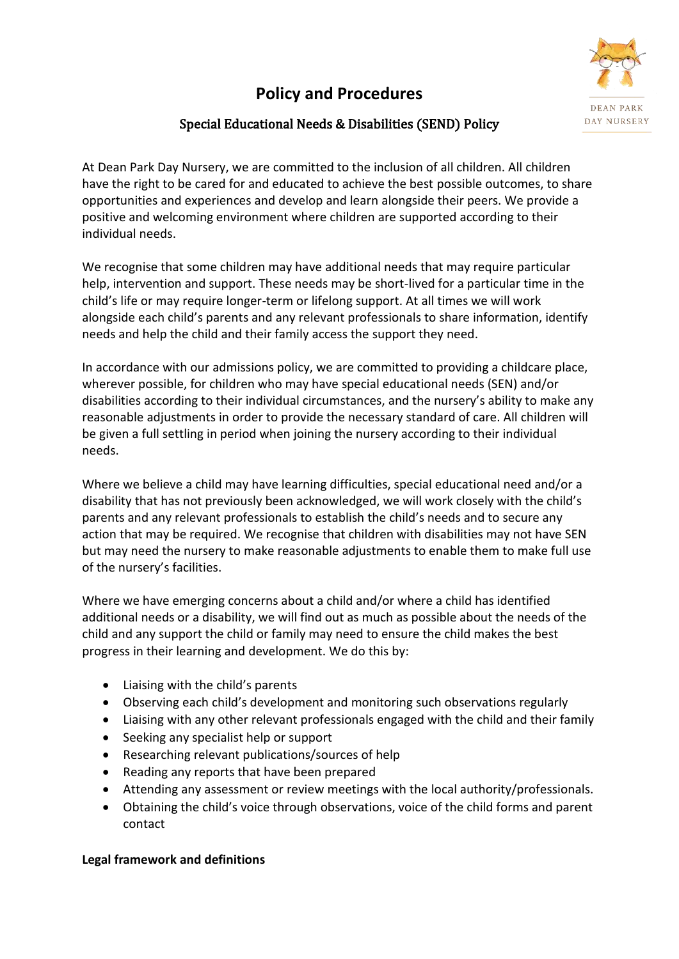# **Policy and Procedures**



# Special Educational Needs & Disabilities (SEND) Policy

At Dean Park Day Nursery, we are committed to the inclusion of all children. All children have the right to be cared for and educated to achieve the best possible outcomes, to share opportunities and experiences and develop and learn alongside their peers. We provide a positive and welcoming environment where children are supported according to their individual needs.

We recognise that some children may have additional needs that may require particular help, intervention and support. These needs may be short-lived for a particular time in the child's life or may require longer-term or lifelong support. At all times we will work alongside each child's parents and any relevant professionals to share information, identify needs and help the child and their family access the support they need.

In accordance with our admissions policy, we are committed to providing a childcare place, wherever possible, for children who may have special educational needs (SEN) and/or disabilities according to their individual circumstances, and the nursery's ability to make any reasonable adjustments in order to provide the necessary standard of care. All children will be given a full settling in period when joining the nursery according to their individual needs.

Where we believe a child may have learning difficulties, special educational need and/or a disability that has not previously been acknowledged, we will work closely with the child's parents and any relevant professionals to establish the child's needs and to secure any action that may be required. We recognise that children with disabilities may not have SEN but may need the nursery to make reasonable adjustments to enable them to make full use of the nursery's facilities.

Where we have emerging concerns about a child and/or where a child has identified additional needs or a disability, we will find out as much as possible about the needs of the child and any support the child or family may need to ensure the child makes the best progress in their learning and development. We do this by:

- Liaising with the child's parents
- Observing each child's development and monitoring such observations regularly
- Liaising with any other relevant professionals engaged with the child and their family
- Seeking any specialist help or support
- Researching relevant publications/sources of help
- Reading any reports that have been prepared
- Attending any assessment or review meetings with the local authority/professionals.
- Obtaining the child's voice through observations, voice of the child forms and parent contact

## **Legal framework and definitions**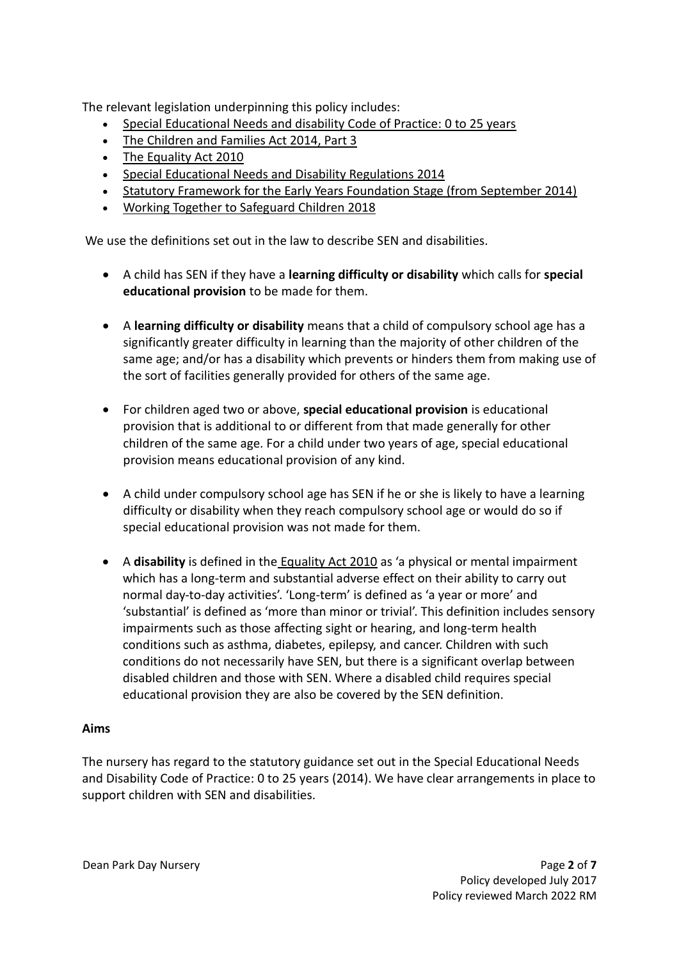The relevant legislation underpinning this policy includes:

- [Special Educational Needs and disability Code of Practice: 0 to 25 years](https://www.gov.uk/government/uploads/system/uploads/attachment_data/file/319639/Code_of_Practice-Final-10June2014.pdf)
- [The Children and Families Act 2014, Part 3](http://www.legislation.gov.uk/ukpga/2014/6/contents/enacted)
- [The Equality Act 2010](http://www.legislation.gov.uk/ukpga/2010/15/contents)
- Special Educational [Needs and Disability Regulations 2014](http://www.legislation.gov.uk/uksi/2014/1530/contents/made)
- [Statutory Framework for the Early Years Foundation Stage \(from September 2014\)](https://www.gov.uk/government/uploads/system/uploads/attachment_data/file/299391/DFE-00337-2014.pdf)
- Working Together to Safeguard Children 2018

We use the definitions set out in the law to describe SEN and disabilities.

- A child has SEN if they have a **learning difficulty or disability** which calls for **special educational provision** to be made for them.
- A **learning difficulty or disability** means that a child of compulsory school age has a significantly greater difficulty in learning than the majority of other children of the same age; and/or has a disability which prevents or hinders them from making use of the sort of facilities generally provided for others of the same age.
- For children aged two or above, **special educational provision** is educational provision that is additional to or different from that made generally for other children of the same age. For a child under two years of age, special educational provision means educational provision of any kind.
- A child under compulsory school age has SEN if he or she is likely to have a learning difficulty or disability when they reach compulsory school age or would do so if special educational provision was not made for them.
- A **disability** is defined in the [Equality Act 2010](http://www.legislation.gov.uk/ukpga/2010/15/contents) as 'a physical or mental impairment which has a long-term and substantial adverse effect on their ability to carry out normal day-to-day activities'. 'Long-term' is defined as 'a year or more' and 'substantial' is defined as 'more than minor or trivial'. This definition includes sensory impairments such as those affecting sight or hearing, and long-term health conditions such as asthma, diabetes, epilepsy, and cancer. Children with such conditions do not necessarily have SEN, but there is a significant overlap between disabled children and those with SEN. Where a disabled child requires special educational provision they are also be covered by the SEN definition.

# **Aims**

The nursery has regard to the statutory guidance set out in the Special Educational Needs and Disability Code of Practice: 0 to 25 years (2014). We have clear arrangements in place to support children with SEN and disabilities.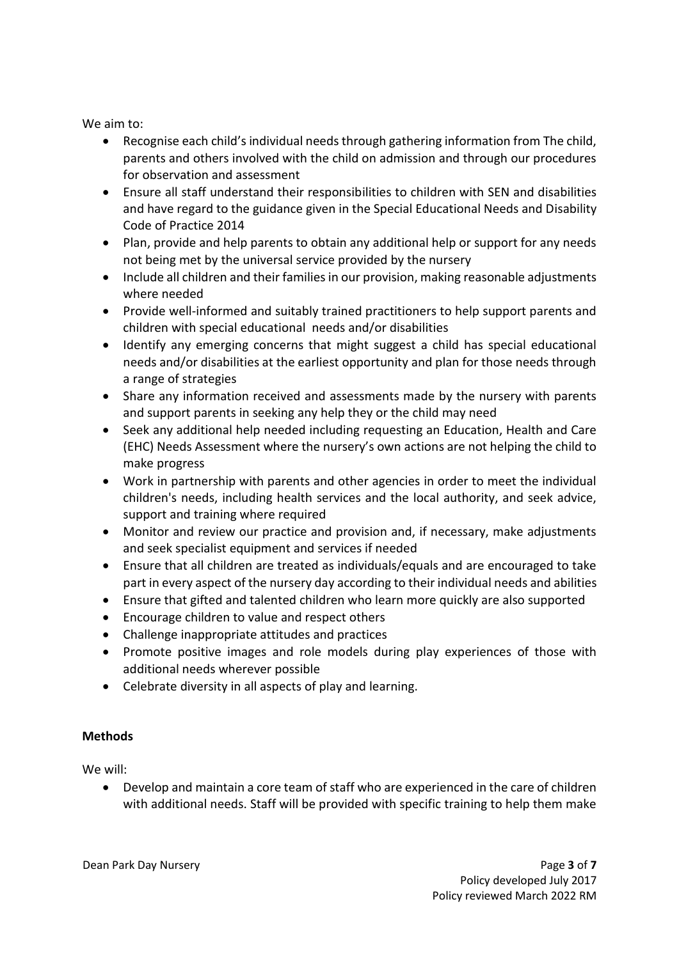We aim to:

- Recognise each child's individual needs through gathering information from The child, parents and others involved with the child on admission and through our procedures for observation and assessment
- Ensure all staff understand their responsibilities to children with SEN and disabilities and have regard to the guidance given in the Special Educational Needs and Disability Code of Practice 2014
- Plan, provide and help parents to obtain any additional help or support for any needs not being met by the universal service provided by the nursery
- Include all children and their families in our provision, making reasonable adjustments where needed
- Provide well-informed and suitably trained practitioners to help support parents and children with special educational needs and/or disabilities
- Identify any emerging concerns that might suggest a child has special educational needs and/or disabilities at the earliest opportunity and plan for those needs through a range of strategies
- Share any information received and assessments made by the nursery with parents and support parents in seeking any help they or the child may need
- Seek any additional help needed including requesting an Education, Health and Care (EHC) Needs Assessment where the nursery's own actions are not helping the child to make progress
- Work in partnership with parents and other agencies in order to meet the individual children's needs, including health services and the local authority, and seek advice, support and training where required
- Monitor and review our practice and provision and, if necessary, make adjustments and seek specialist equipment and services if needed
- Ensure that all children are treated as individuals/equals and are encouraged to take part in every aspect of the nursery day according to their individual needs and abilities
- Ensure that gifted and talented children who learn more quickly are also supported
- Encourage children to value and respect others
- Challenge inappropriate attitudes and practices
- Promote positive images and role models during play experiences of those with additional needs wherever possible
- Celebrate diversity in all aspects of play and learning.

## **Methods**

We will:

• Develop and maintain a core team of staff who are experienced in the care of children with additional needs. Staff will be provided with specific training to help them make

Dean Park Day Nursery Page **3** of **7**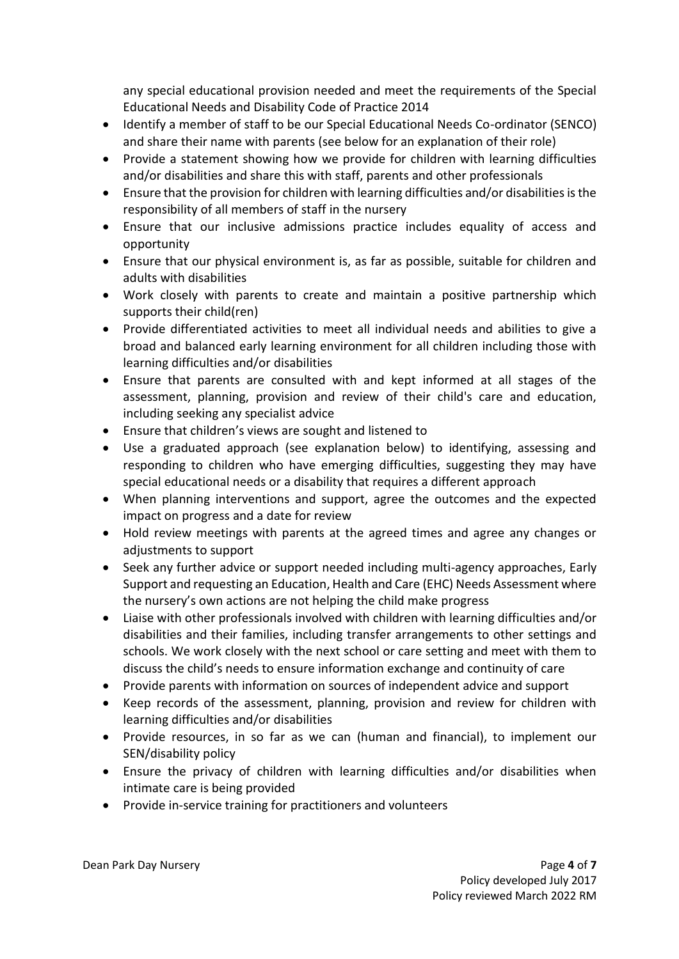any special educational provision needed and meet the requirements of the Special Educational Needs and Disability Code of Practice 2014

- Identify a member of staff to be our Special Educational Needs Co-ordinator (SENCO) and share their name with parents (see below for an explanation of their role)
- Provide a statement showing how we provide for children with learning difficulties and/or disabilities and share this with staff, parents and other professionals
- Ensure that the provision for children with learning difficulties and/or disabilities is the responsibility of all members of staff in the nursery
- Ensure that our inclusive admissions practice includes equality of access and opportunity
- Ensure that our physical environment is, as far as possible, suitable for children and adults with disabilities
- Work closely with parents to create and maintain a positive partnership which supports their child(ren)
- Provide differentiated activities to meet all individual needs and abilities to give a broad and balanced early learning environment for all children including those with learning difficulties and/or disabilities
- Ensure that parents are consulted with and kept informed at all stages of the assessment, planning, provision and review of their child's care and education, including seeking any specialist advice
- Ensure that children's views are sought and listened to
- Use a graduated approach (see explanation below) to identifying, assessing and responding to children who have emerging difficulties, suggesting they may have special educational needs or a disability that requires a different approach
- When planning interventions and support, agree the outcomes and the expected impact on progress and a date for review
- Hold review meetings with parents at the agreed times and agree any changes or adjustments to support
- Seek any further advice or support needed including multi-agency approaches, Early Support and requesting an Education, Health and Care (EHC) Needs Assessment where the nursery's own actions are not helping the child make progress
- Liaise with other professionals involved with children with learning difficulties and/or disabilities and their families, including transfer arrangements to other settings and schools. We work closely with the next school or care setting and meet with them to discuss the child's needs to ensure information exchange and continuity of care
- Provide parents with information on sources of independent advice and support
- Keep records of the assessment, planning, provision and review for children with learning difficulties and/or disabilities
- Provide resources, in so far as we can (human and financial), to implement our SEN/disability policy
- Ensure the privacy of children with learning difficulties and/or disabilities when intimate care is being provided
- Provide in-service training for practitioners and volunteers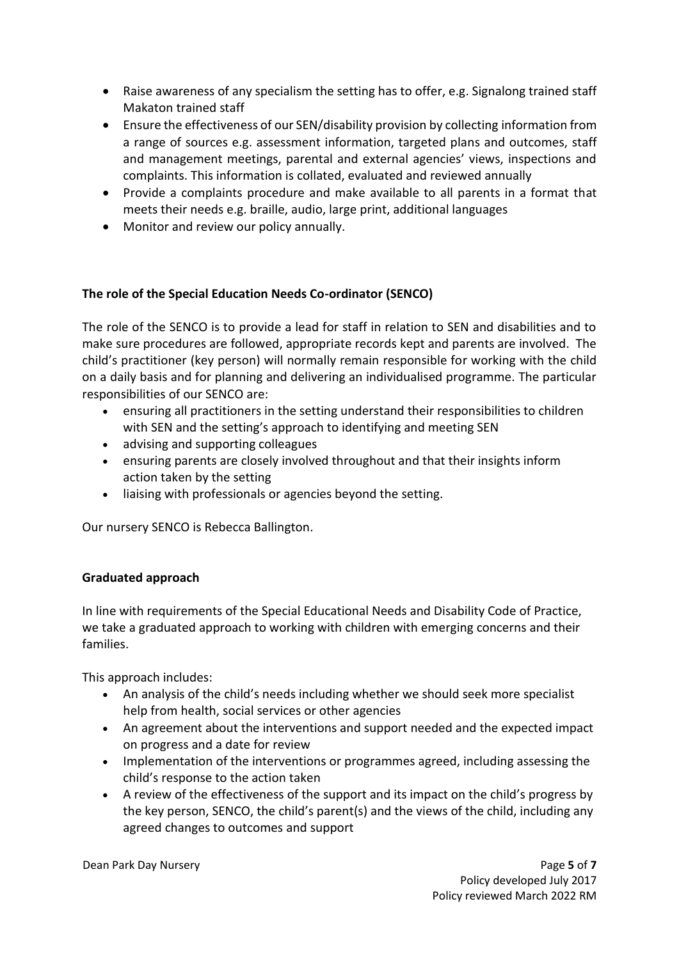- Raise awareness of any specialism the setting has to offer, e.g. Signalong trained staff Makaton trained staff
- Ensure the effectiveness of our SEN/disability provision by collecting information from a range of sources e.g. assessment information, targeted plans and outcomes, staff and management meetings, parental and external agencies' views, inspections and complaints. This information is collated, evaluated and reviewed annually
- Provide a complaints procedure and make available to all parents in a format that meets their needs e.g. braille, audio, large print, additional languages
- Monitor and review our policy annually.

# **The role of the Special Education Needs Co-ordinator (SENCO)**

The role of the SENCO is to provide a lead for staff in relation to SEN and disabilities and to make sure procedures are followed, appropriate records kept and parents are involved. The child's practitioner (key person) will normally remain responsible for working with the child on a daily basis and for planning and delivering an individualised programme. The particular responsibilities of our SENCO are:

- ensuring all practitioners in the setting understand their responsibilities to children with SEN and the setting's approach to identifying and meeting SEN
- advising and supporting colleagues
- ensuring parents are closely involved throughout and that their insights inform action taken by the setting
- liaising with professionals or agencies beyond the setting.

Our nursery SENCO is Rebecca Ballington.

# **Graduated approach**

In line with requirements of the Special Educational Needs and Disability Code of Practice, we take a graduated approach to working with children with emerging concerns and their families.

This approach includes:

- An analysis of the child's needs including whether we should seek more specialist help from health, social services or other agencies
- An agreement about the interventions and support needed and the expected impact on progress and a date for review
- Implementation of the interventions or programmes agreed, including assessing the child's response to the action taken
- A review of the effectiveness of the support and its impact on the child's progress by the key person, SENCO, the child's parent(s) and the views of the child, including any agreed changes to outcomes and support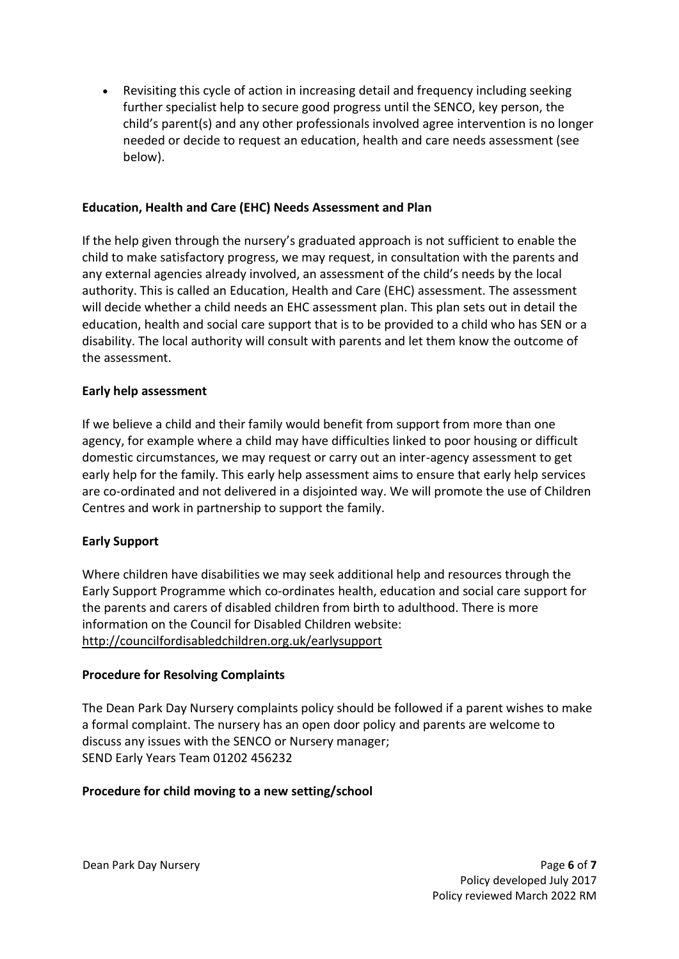• Revisiting this cycle of action in increasing detail and frequency including seeking further specialist help to secure good progress until the SENCO, key person, the child's parent(s) and any other professionals involved agree intervention is no longer needed or decide to request an education, health and care needs assessment (see below).

### **Education, Health and Care (EHC) Needs Assessment and Plan**

If the help given through the nursery's graduated approach is not sufficient to enable the child to make satisfactory progress, we may request, in consultation with the parents and any external agencies already involved, an assessment of the child's needs by the local authority. This is called an Education, Health and Care (EHC) assessment. The assessment will decide whether a child needs an EHC assessment plan. This plan sets out in detail the education, health and social care support that is to be provided to a child who has SEN or a disability. The local authority will consult with parents and let them know the outcome of the assessment.

### **Early help assessment**

If we believe a child and their family would benefit from support from more than one agency, for example where a child may have difficulties linked to poor housing or difficult domestic circumstances, we may request or carry out an inter-agency assessment to get early help for the family. This early help assessment aims to ensure that early help services are co-ordinated and not delivered in a disjointed way. We will promote the use of Children Centres and work in partnership to support the family.

#### **Early Support**

Where children have disabilities we may seek additional help and resources through the Early Support Programme which co-ordinates health, education and social care support for the parents and carers of disabled children from birth to adulthood. There is more information on the Council for Disabled Children website: <http://councilfordisabledchildren.org.uk/earlysupport>

#### **Procedure for Resolving Complaints**

The Dean Park Day Nursery complaints policy should be followed if a parent wishes to make a formal complaint. The nursery has an open door policy and parents are welcome to discuss any issues with the SENCO or Nursery manager; SEND Early Years Team 01202 456232

#### **Procedure for child moving to a new setting/school**